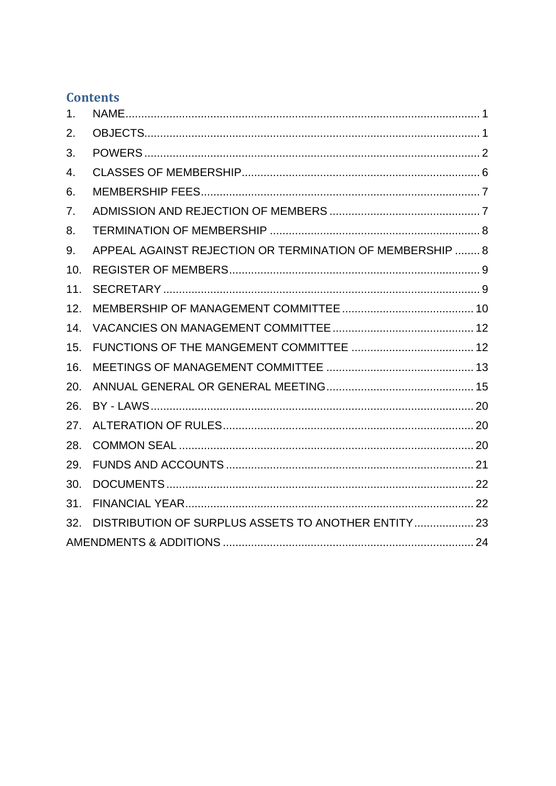## **Contents**

| 1.  |                                                          |  |  |
|-----|----------------------------------------------------------|--|--|
| 2.  |                                                          |  |  |
| 3.  |                                                          |  |  |
| 4.  |                                                          |  |  |
| 6.  |                                                          |  |  |
| 7.  |                                                          |  |  |
| 8.  |                                                          |  |  |
| 9.  | APPEAL AGAINST REJECTION OR TERMINATION OF MEMBERSHIP  8 |  |  |
| 10. |                                                          |  |  |
| 11. |                                                          |  |  |
| 12. |                                                          |  |  |
| 14. |                                                          |  |  |
| 15. |                                                          |  |  |
| 16. |                                                          |  |  |
| 20. |                                                          |  |  |
| 26. |                                                          |  |  |
| 27. |                                                          |  |  |
| 28. |                                                          |  |  |
| 29. |                                                          |  |  |
| 30. |                                                          |  |  |
| 31. |                                                          |  |  |
| 32. | DISTRIBUTION OF SURPLUS ASSETS TO ANOTHER ENTITY 23      |  |  |
|     |                                                          |  |  |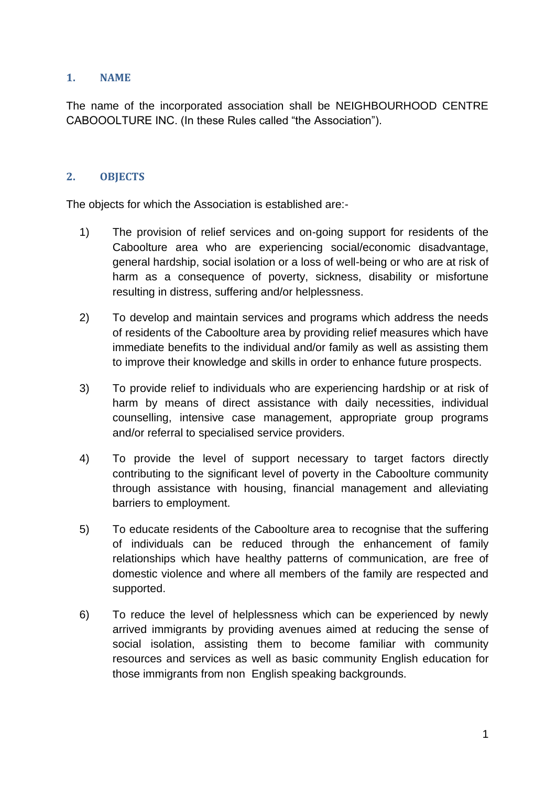## <span id="page-1-0"></span>**1. NAME**

The name of the incorporated association shall be NEIGHBOURHOOD CENTRE CABOOOLTURE INC. (In these Rules called "the Association").

## <span id="page-1-1"></span>**2. OBJECTS**

The objects for which the Association is established are:-

- 1) The provision of relief services and on-going support for residents of the Caboolture area who are experiencing social/economic disadvantage, general hardship, social isolation or a loss of well-being or who are at risk of harm as a consequence of poverty, sickness, disability or misfortune resulting in distress, suffering and/or helplessness.
- 2) To develop and maintain services and programs which address the needs of residents of the Caboolture area by providing relief measures which have immediate benefits to the individual and/or family as well as assisting them to improve their knowledge and skills in order to enhance future prospects.
- 3) To provide relief to individuals who are experiencing hardship or at risk of harm by means of direct assistance with daily necessities, individual counselling, intensive case management, appropriate group programs and/or referral to specialised service providers.
- 4) To provide the level of support necessary to target factors directly contributing to the significant level of poverty in the Caboolture community through assistance with housing, financial management and alleviating barriers to employment.
- 5) To educate residents of the Caboolture area to recognise that the suffering of individuals can be reduced through the enhancement of family relationships which have healthy patterns of communication, are free of domestic violence and where all members of the family are respected and supported.
- 6) To reduce the level of helplessness which can be experienced by newly arrived immigrants by providing avenues aimed at reducing the sense of social isolation, assisting them to become familiar with community resources and services as well as basic community English education for those immigrants from non English speaking backgrounds.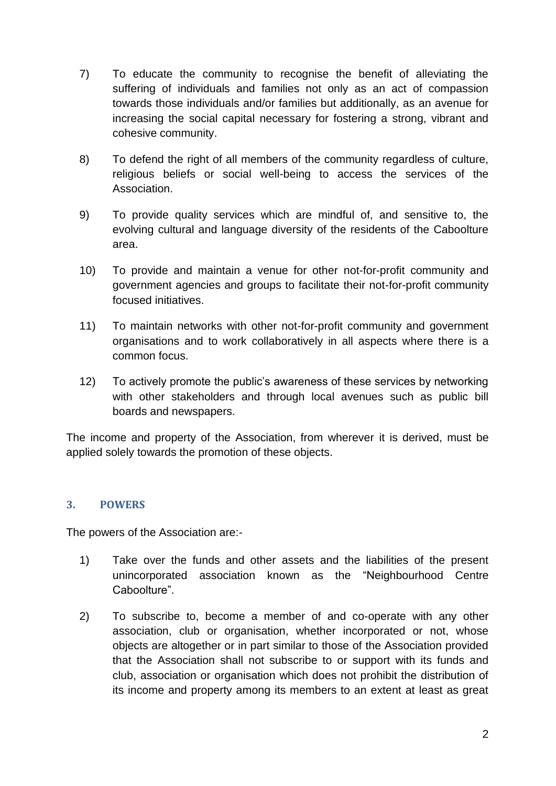- 7) To educate the community to recognise the benefit of alleviating the suffering of individuals and families not only as an act of compassion towards those individuals and/or families but additionally, as an avenue for increasing the social capital necessary for fostering a strong, vibrant and cohesive community.
- 8) To defend the right of all members of the community regardless of culture, religious beliefs or social well-being to access the services of the Association.
- 9) To provide quality services which are mindful of, and sensitive to, the evolving cultural and language diversity of the residents of the Caboolture area.
- 10) To provide and maintain a venue for other not-for-profit community and government agencies and groups to facilitate their not-for-profit community focused initiatives.
- 11) To maintain networks with other not-for-profit community and government organisations and to work collaboratively in all aspects where there is a common focus.
- 12) To actively promote the public's awareness of these services by networking with other stakeholders and through local avenues such as public bill boards and newspapers.

The income and property of the Association, from wherever it is derived, must be applied solely towards the promotion of these objects.

## <span id="page-2-0"></span>**3. POWERS**

The powers of the Association are:-

- 1) Take over the funds and other assets and the liabilities of the present unincorporated association known as the "Neighbourhood Centre Caboolture".
- 2) To subscribe to, become a member of and co-operate with any other association, club or organisation, whether incorporated or not, whose objects are altogether or in part similar to those of the Association provided that the Association shall not subscribe to or support with its funds and club, association or organisation which does not prohibit the distribution of its income and property among its members to an extent at least as great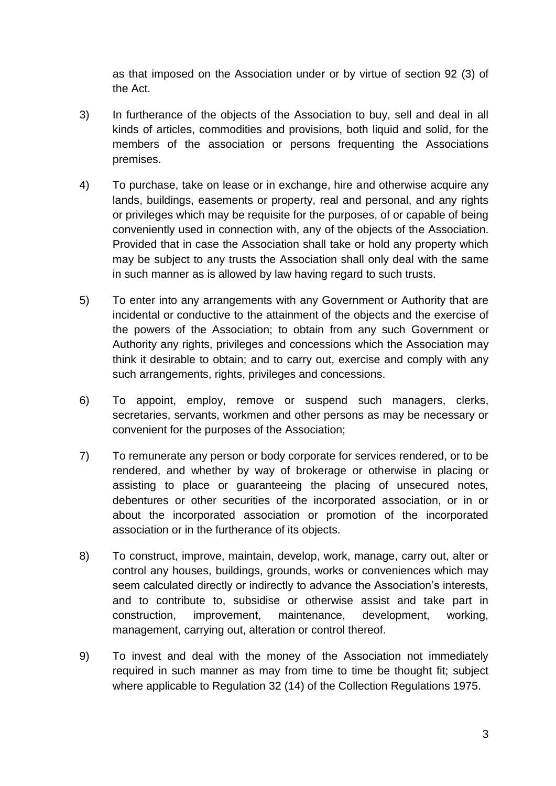as that imposed on the Association under or by virtue of section 92 (3) of the Act.

- 3) In furtherance of the objects of the Association to buy, sell and deal in all kinds of articles, commodities and provisions, both liquid and solid, for the members of the association or persons frequenting the Associations premises.
- 4) To purchase, take on lease or in exchange, hire and otherwise acquire any lands, buildings, easements or property, real and personal, and any rights or privileges which may be requisite for the purposes, of or capable of being conveniently used in connection with, any of the objects of the Association. Provided that in case the Association shall take or hold any property which may be subject to any trusts the Association shall only deal with the same in such manner as is allowed by law having regard to such trusts.
- 5) To enter into any arrangements with any Government or Authority that are incidental or conductive to the attainment of the objects and the exercise of the powers of the Association; to obtain from any such Government or Authority any rights, privileges and concessions which the Association may think it desirable to obtain; and to carry out, exercise and comply with any such arrangements, rights, privileges and concessions.
- 6) To appoint, employ, remove or suspend such managers, clerks, secretaries, servants, workmen and other persons as may be necessary or convenient for the purposes of the Association;
- 7) To remunerate any person or body corporate for services rendered, or to be rendered, and whether by way of brokerage or otherwise in placing or assisting to place or guaranteeing the placing of unsecured notes, debentures or other securities of the incorporated association, or in or about the incorporated association or promotion of the incorporated association or in the furtherance of its objects.
- 8) To construct, improve, maintain, develop, work, manage, carry out, alter or control any houses, buildings, grounds, works or conveniences which may seem calculated directly or indirectly to advance the Association's interests, and to contribute to, subsidise or otherwise assist and take part in construction, improvement, maintenance, development, working, management, carrying out, alteration or control thereof.
- 9) To invest and deal with the money of the Association not immediately required in such manner as may from time to time be thought fit; subject where applicable to Regulation 32 (14) of the Collection Regulations 1975.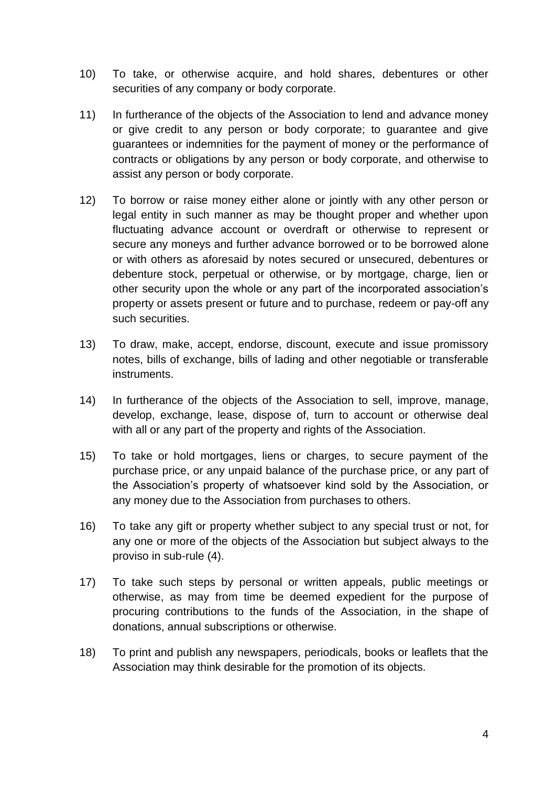- 10) To take, or otherwise acquire, and hold shares, debentures or other securities of any company or body corporate.
- 11) In furtherance of the objects of the Association to lend and advance money or give credit to any person or body corporate; to guarantee and give guarantees or indemnities for the payment of money or the performance of contracts or obligations by any person or body corporate, and otherwise to assist any person or body corporate.
- 12) To borrow or raise money either alone or jointly with any other person or legal entity in such manner as may be thought proper and whether upon fluctuating advance account or overdraft or otherwise to represent or secure any moneys and further advance borrowed or to be borrowed alone or with others as aforesaid by notes secured or unsecured, debentures or debenture stock, perpetual or otherwise, or by mortgage, charge, lien or other security upon the whole or any part of the incorporated association's property or assets present or future and to purchase, redeem or pay-off any such securities.
- 13) To draw, make, accept, endorse, discount, execute and issue promissory notes, bills of exchange, bills of lading and other negotiable or transferable instruments.
- 14) In furtherance of the objects of the Association to sell, improve, manage, develop, exchange, lease, dispose of, turn to account or otherwise deal with all or any part of the property and rights of the Association.
- 15) To take or hold mortgages, liens or charges, to secure payment of the purchase price, or any unpaid balance of the purchase price, or any part of the Association's property of whatsoever kind sold by the Association, or any money due to the Association from purchases to others.
- 16) To take any gift or property whether subject to any special trust or not, for any one or more of the objects of the Association but subject always to the proviso in sub-rule (4).
- 17) To take such steps by personal or written appeals, public meetings or otherwise, as may from time be deemed expedient for the purpose of procuring contributions to the funds of the Association, in the shape of donations, annual subscriptions or otherwise.
- 18) To print and publish any newspapers, periodicals, books or leaflets that the Association may think desirable for the promotion of its objects.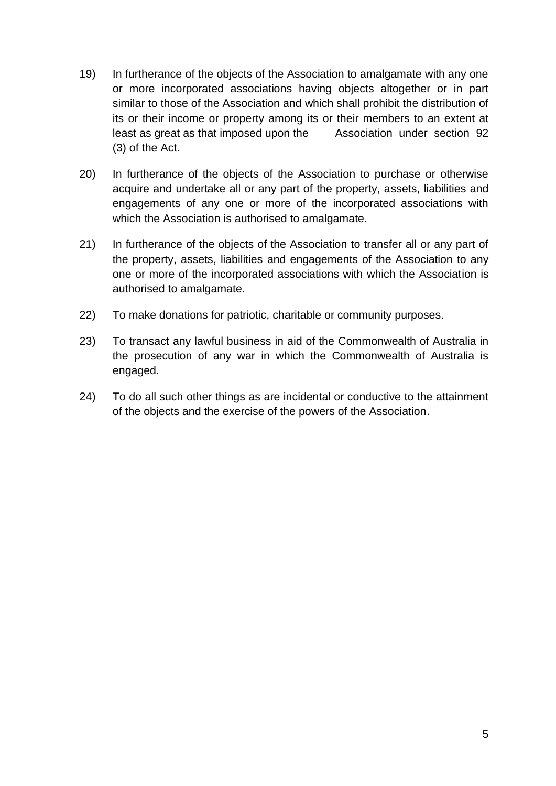- 19) In furtherance of the objects of the Association to amalgamate with any one or more incorporated associations having objects altogether or in part similar to those of the Association and which shall prohibit the distribution of its or their income or property among its or their members to an extent at least as great as that imposed upon the Association under section 92 (3) of the Act.
- 20) In furtherance of the objects of the Association to purchase or otherwise acquire and undertake all or any part of the property, assets, liabilities and engagements of any one or more of the incorporated associations with which the Association is authorised to amalgamate.
- 21) In furtherance of the objects of the Association to transfer all or any part of the property, assets, liabilities and engagements of the Association to any one or more of the incorporated associations with which the Association is authorised to amalgamate.
- 22) To make donations for patriotic, charitable or community purposes.
- 23) To transact any lawful business in aid of the Commonwealth of Australia in the prosecution of any war in which the Commonwealth of Australia is engaged.
- 24) To do all such other things as are incidental or conductive to the attainment of the objects and the exercise of the powers of the Association.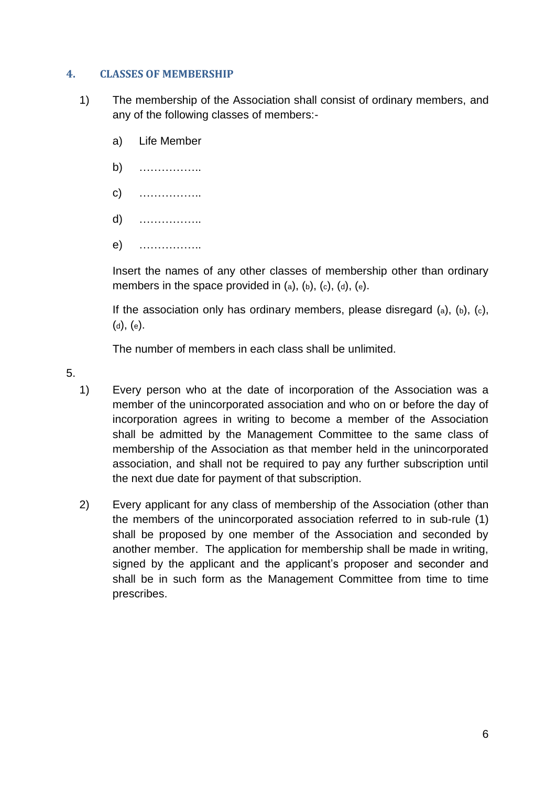## <span id="page-6-0"></span>**4. CLASSES OF MEMBERSHIP**

- 1) The membership of the Association shall consist of ordinary members, and any of the following classes of members:
	- a) Life Member
	- b) ……………..
	- c) ……………..
	- d) ……………..
	- e) ……………..

Insert the names of any other classes of membership other than ordinary members in the space provided in  $(a)$ ,  $(b)$ ,  $(c)$ ,  $(d)$ ,  $(e)$ .

If the association only has ordinary members, please disregard  $(a)$ ,  $(b)$ ,  $(c)$ , (d), (e).

The number of members in each class shall be unlimited.

5.

- 1) Every person who at the date of incorporation of the Association was a member of the unincorporated association and who on or before the day of incorporation agrees in writing to become a member of the Association shall be admitted by the Management Committee to the same class of membership of the Association as that member held in the unincorporated association, and shall not be required to pay any further subscription until the next due date for payment of that subscription.
- 2) Every applicant for any class of membership of the Association (other than the members of the unincorporated association referred to in sub-rule (1) shall be proposed by one member of the Association and seconded by another member. The application for membership shall be made in writing, signed by the applicant and the applicant's proposer and seconder and shall be in such form as the Management Committee from time to time prescribes.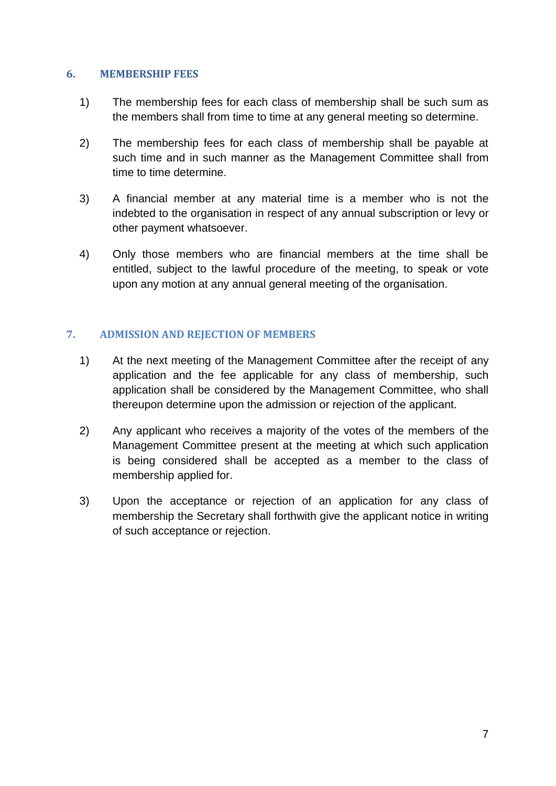### <span id="page-7-0"></span>**6. MEMBERSHIP FEES**

- 1) The membership fees for each class of membership shall be such sum as the members shall from time to time at any general meeting so determine.
- 2) The membership fees for each class of membership shall be payable at such time and in such manner as the Management Committee shall from time to time determine.
- 3) A financial member at any material time is a member who is not the indebted to the organisation in respect of any annual subscription or levy or other payment whatsoever.
- 4) Only those members who are financial members at the time shall be entitled, subject to the lawful procedure of the meeting, to speak or vote upon any motion at any annual general meeting of the organisation.

## <span id="page-7-1"></span>**7. ADMISSION AND REJECTION OF MEMBERS**

- 1) At the next meeting of the Management Committee after the receipt of any application and the fee applicable for any class of membership, such application shall be considered by the Management Committee, who shall thereupon determine upon the admission or rejection of the applicant.
- 2) Any applicant who receives a majority of the votes of the members of the Management Committee present at the meeting at which such application is being considered shall be accepted as a member to the class of membership applied for.
- 3) Upon the acceptance or rejection of an application for any class of membership the Secretary shall forthwith give the applicant notice in writing of such acceptance or rejection.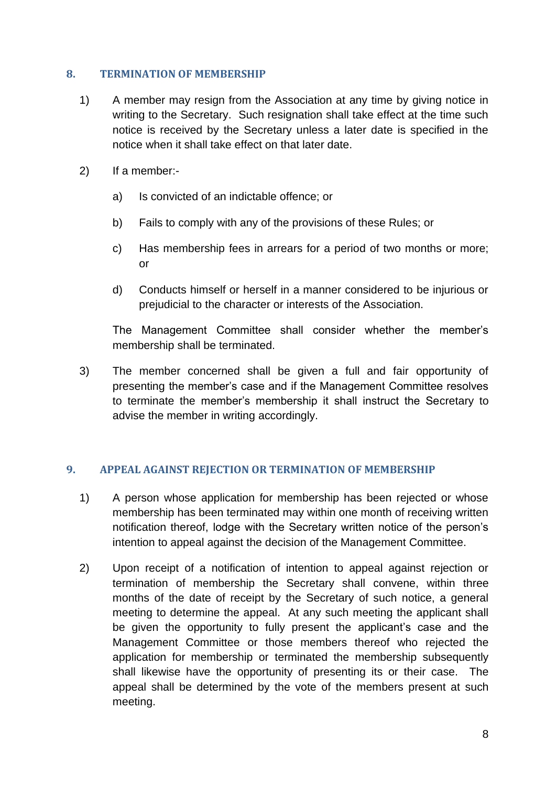## <span id="page-8-0"></span>**8. TERMINATION OF MEMBERSHIP**

- 1) A member may resign from the Association at any time by giving notice in writing to the Secretary. Such resignation shall take effect at the time such notice is received by the Secretary unless a later date is specified in the notice when it shall take effect on that later date.
- 2) If a member:
	- a) Is convicted of an indictable offence; or
	- b) Fails to comply with any of the provisions of these Rules; or
	- c) Has membership fees in arrears for a period of two months or more; or
	- d) Conducts himself or herself in a manner considered to be injurious or prejudicial to the character or interests of the Association.

The Management Committee shall consider whether the member's membership shall be terminated.

3) The member concerned shall be given a full and fair opportunity of presenting the member's case and if the Management Committee resolves to terminate the member's membership it shall instruct the Secretary to advise the member in writing accordingly.

## <span id="page-8-1"></span>**9. APPEAL AGAINST REJECTION OR TERMINATION OF MEMBERSHIP**

- 1) A person whose application for membership has been rejected or whose membership has been terminated may within one month of receiving written notification thereof, lodge with the Secretary written notice of the person's intention to appeal against the decision of the Management Committee.
- 2) Upon receipt of a notification of intention to appeal against rejection or termination of membership the Secretary shall convene, within three months of the date of receipt by the Secretary of such notice, a general meeting to determine the appeal. At any such meeting the applicant shall be given the opportunity to fully present the applicant's case and the Management Committee or those members thereof who rejected the application for membership or terminated the membership subsequently shall likewise have the opportunity of presenting its or their case. The appeal shall be determined by the vote of the members present at such meeting.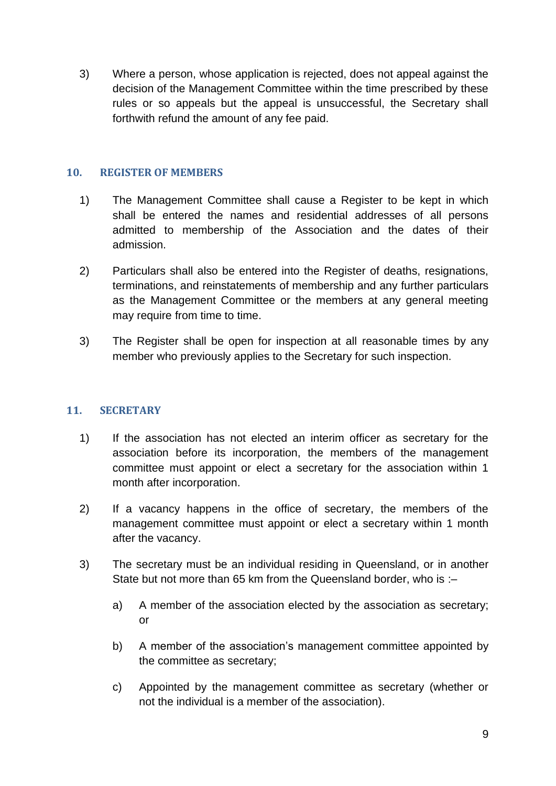3) Where a person, whose application is rejected, does not appeal against the decision of the Management Committee within the time prescribed by these rules or so appeals but the appeal is unsuccessful, the Secretary shall forthwith refund the amount of any fee paid.

## <span id="page-9-0"></span>**10. REGISTER OF MEMBERS**

- 1) The Management Committee shall cause a Register to be kept in which shall be entered the names and residential addresses of all persons admitted to membership of the Association and the dates of their admission.
- 2) Particulars shall also be entered into the Register of deaths, resignations, terminations, and reinstatements of membership and any further particulars as the Management Committee or the members at any general meeting may require from time to time.
- 3) The Register shall be open for inspection at all reasonable times by any member who previously applies to the Secretary for such inspection.

## <span id="page-9-1"></span>**11. SECRETARY**

- 1) If the association has not elected an interim officer as secretary for the association before its incorporation, the members of the management committee must appoint or elect a secretary for the association within 1 month after incorporation.
- 2) If a vacancy happens in the office of secretary, the members of the management committee must appoint or elect a secretary within 1 month after the vacancy.
- 3) The secretary must be an individual residing in Queensland, or in another State but not more than 65 km from the Queensland border, who is :
	- a) A member of the association elected by the association as secretary; or
	- b) A member of the association's management committee appointed by the committee as secretary;
	- c) Appointed by the management committee as secretary (whether or not the individual is a member of the association).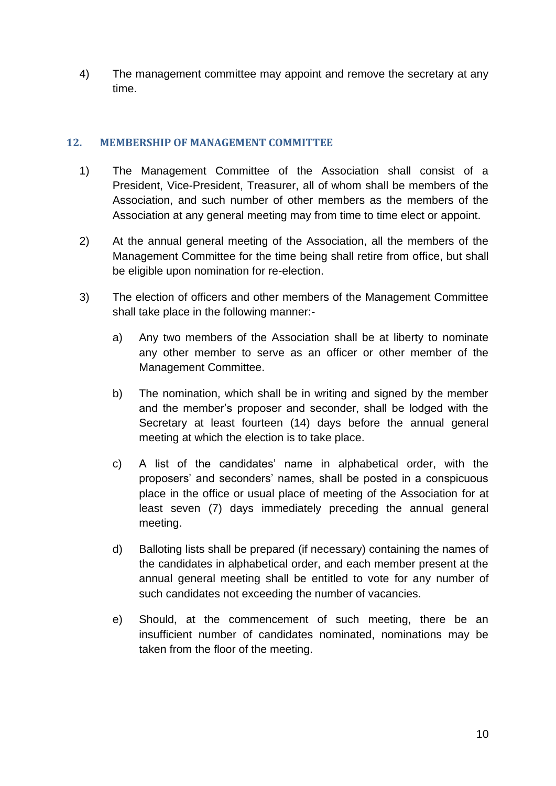4) The management committee may appoint and remove the secretary at any time.

## <span id="page-10-0"></span>**12. MEMBERSHIP OF MANAGEMENT COMMITTEE**

- 1) The Management Committee of the Association shall consist of a President, Vice-President, Treasurer, all of whom shall be members of the Association, and such number of other members as the members of the Association at any general meeting may from time to time elect or appoint.
- 2) At the annual general meeting of the Association, all the members of the Management Committee for the time being shall retire from office, but shall be eligible upon nomination for re-election.
- 3) The election of officers and other members of the Management Committee shall take place in the following manner:
	- a) Any two members of the Association shall be at liberty to nominate any other member to serve as an officer or other member of the Management Committee.
	- b) The nomination, which shall be in writing and signed by the member and the member's proposer and seconder, shall be lodged with the Secretary at least fourteen (14) days before the annual general meeting at which the election is to take place.
	- c) A list of the candidates' name in alphabetical order, with the proposers' and seconders' names, shall be posted in a conspicuous place in the office or usual place of meeting of the Association for at least seven (7) days immediately preceding the annual general meeting.
	- d) Balloting lists shall be prepared (if necessary) containing the names of the candidates in alphabetical order, and each member present at the annual general meeting shall be entitled to vote for any number of such candidates not exceeding the number of vacancies.
	- e) Should, at the commencement of such meeting, there be an insufficient number of candidates nominated, nominations may be taken from the floor of the meeting.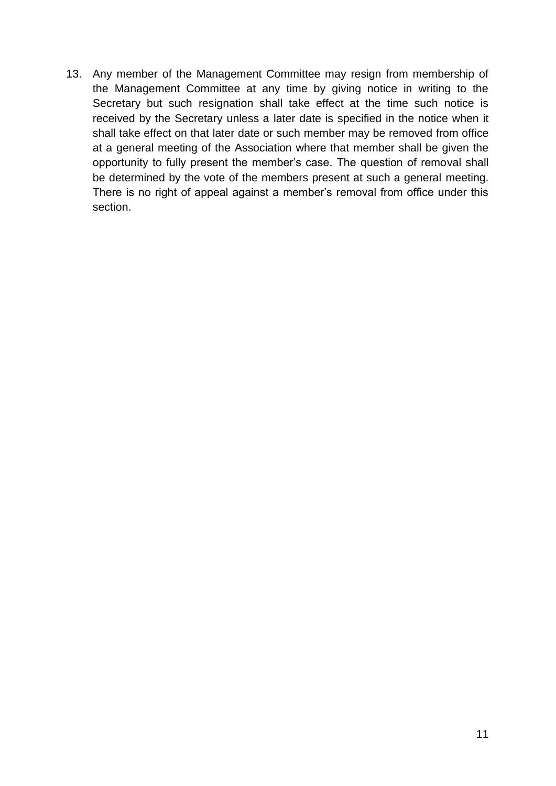13. Any member of the Management Committee may resign from membership of the Management Committee at any time by giving notice in writing to the Secretary but such resignation shall take effect at the time such notice is received by the Secretary unless a later date is specified in the notice when it shall take effect on that later date or such member may be removed from office at a general meeting of the Association where that member shall be given the opportunity to fully present the member's case. The question of removal shall be determined by the vote of the members present at such a general meeting. There is no right of appeal against a member's removal from office under this section.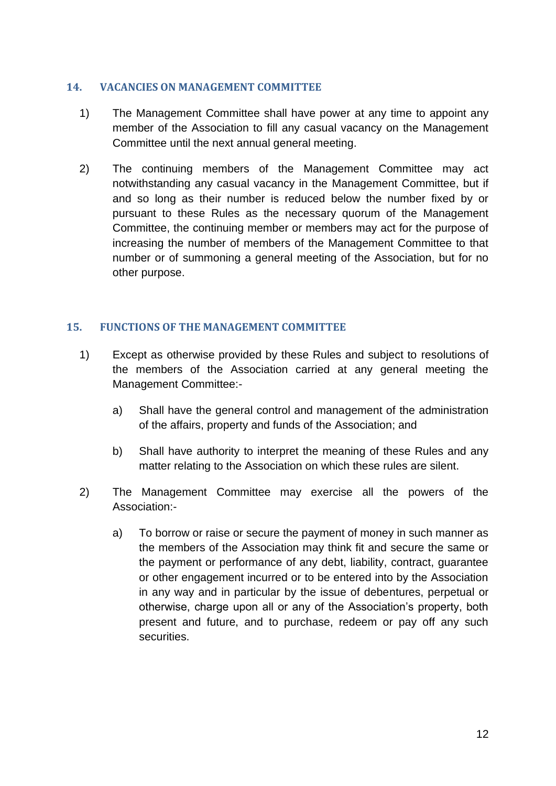## <span id="page-12-0"></span>**14. VACANCIES ON MANAGEMENT COMMITTEE**

- 1) The Management Committee shall have power at any time to appoint any member of the Association to fill any casual vacancy on the Management Committee until the next annual general meeting.
- 2) The continuing members of the Management Committee may act notwithstanding any casual vacancy in the Management Committee, but if and so long as their number is reduced below the number fixed by or pursuant to these Rules as the necessary quorum of the Management Committee, the continuing member or members may act for the purpose of increasing the number of members of the Management Committee to that number or of summoning a general meeting of the Association, but for no other purpose.

## <span id="page-12-1"></span>**15. FUNCTIONS OF THE MANAGEMENT COMMITTEE**

- 1) Except as otherwise provided by these Rules and subject to resolutions of the members of the Association carried at any general meeting the Management Committee:
	- a) Shall have the general control and management of the administration of the affairs, property and funds of the Association; and
	- b) Shall have authority to interpret the meaning of these Rules and any matter relating to the Association on which these rules are silent.
- 2) The Management Committee may exercise all the powers of the Association:
	- a) To borrow or raise or secure the payment of money in such manner as the members of the Association may think fit and secure the same or the payment or performance of any debt, liability, contract, guarantee or other engagement incurred or to be entered into by the Association in any way and in particular by the issue of debentures, perpetual or otherwise, charge upon all or any of the Association's property, both present and future, and to purchase, redeem or pay off any such securities.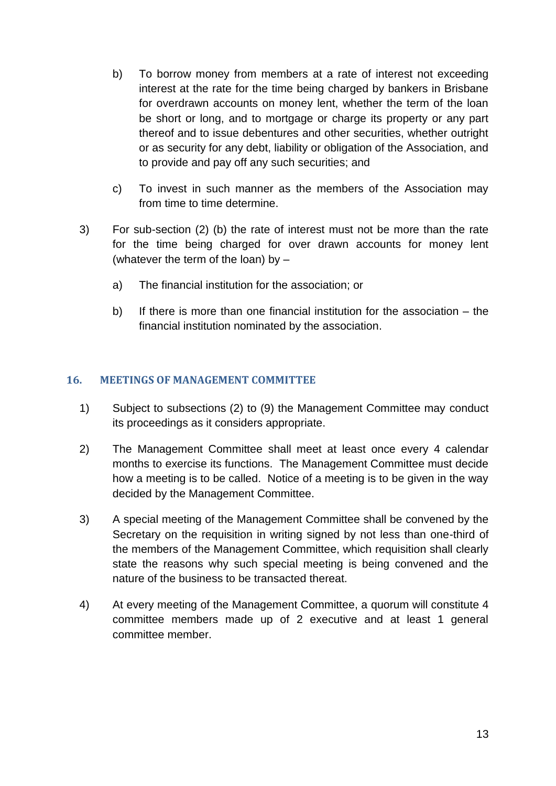- b) To borrow money from members at a rate of interest not exceeding interest at the rate for the time being charged by bankers in Brisbane for overdrawn accounts on money lent, whether the term of the loan be short or long, and to mortgage or charge its property or any part thereof and to issue debentures and other securities, whether outright or as security for any debt, liability or obligation of the Association, and to provide and pay off any such securities; and
- c) To invest in such manner as the members of the Association may from time to time determine.
- 3) For sub-section (2) (b) the rate of interest must not be more than the rate for the time being charged for over drawn accounts for money lent (whatever the term of the loan) by  $$ 
	- a) The financial institution for the association; or
	- b) If there is more than one financial institution for the association the financial institution nominated by the association.

## <span id="page-13-0"></span>**16. MEETINGS OF MANAGEMENT COMMITTEE**

- 1) Subject to subsections (2) to (9) the Management Committee may conduct its proceedings as it considers appropriate.
- 2) The Management Committee shall meet at least once every 4 calendar months to exercise its functions. The Management Committee must decide how a meeting is to be called. Notice of a meeting is to be given in the way decided by the Management Committee.
- 3) A special meeting of the Management Committee shall be convened by the Secretary on the requisition in writing signed by not less than one-third of the members of the Management Committee, which requisition shall clearly state the reasons why such special meeting is being convened and the nature of the business to be transacted thereat.
- 4) At every meeting of the Management Committee, a quorum will constitute 4 committee members made up of 2 executive and at least 1 general committee member.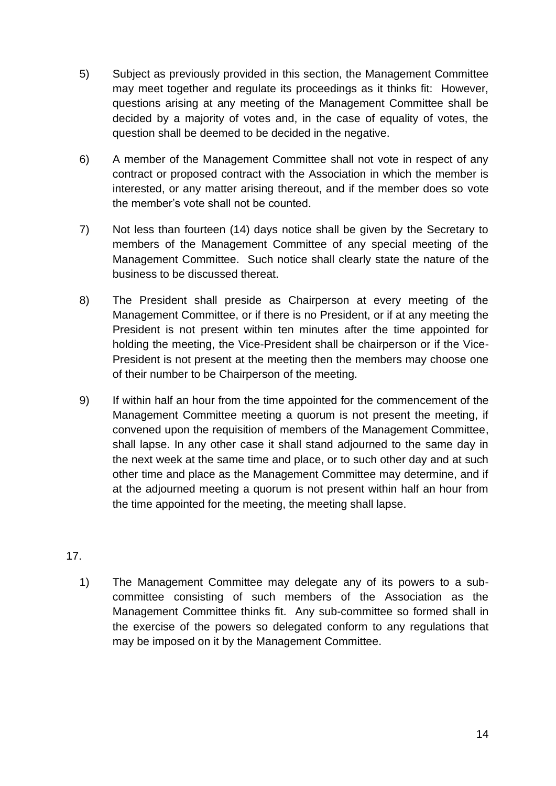- 5) Subject as previously provided in this section, the Management Committee may meet together and regulate its proceedings as it thinks fit: However, questions arising at any meeting of the Management Committee shall be decided by a majority of votes and, in the case of equality of votes, the question shall be deemed to be decided in the negative.
- 6) A member of the Management Committee shall not vote in respect of any contract or proposed contract with the Association in which the member is interested, or any matter arising thereout, and if the member does so vote the member's vote shall not be counted.
- 7) Not less than fourteen (14) days notice shall be given by the Secretary to members of the Management Committee of any special meeting of the Management Committee. Such notice shall clearly state the nature of the business to be discussed thereat.
- 8) The President shall preside as Chairperson at every meeting of the Management Committee, or if there is no President, or if at any meeting the President is not present within ten minutes after the time appointed for holding the meeting, the Vice-President shall be chairperson or if the Vice-President is not present at the meeting then the members may choose one of their number to be Chairperson of the meeting.
- 9) If within half an hour from the time appointed for the commencement of the Management Committee meeting a quorum is not present the meeting, if convened upon the requisition of members of the Management Committee, shall lapse. In any other case it shall stand adjourned to the same day in the next week at the same time and place, or to such other day and at such other time and place as the Management Committee may determine, and if at the adjourned meeting a quorum is not present within half an hour from the time appointed for the meeting, the meeting shall lapse.
- 17.
	- 1) The Management Committee may delegate any of its powers to a subcommittee consisting of such members of the Association as the Management Committee thinks fit. Any sub-committee so formed shall in the exercise of the powers so delegated conform to any regulations that may be imposed on it by the Management Committee.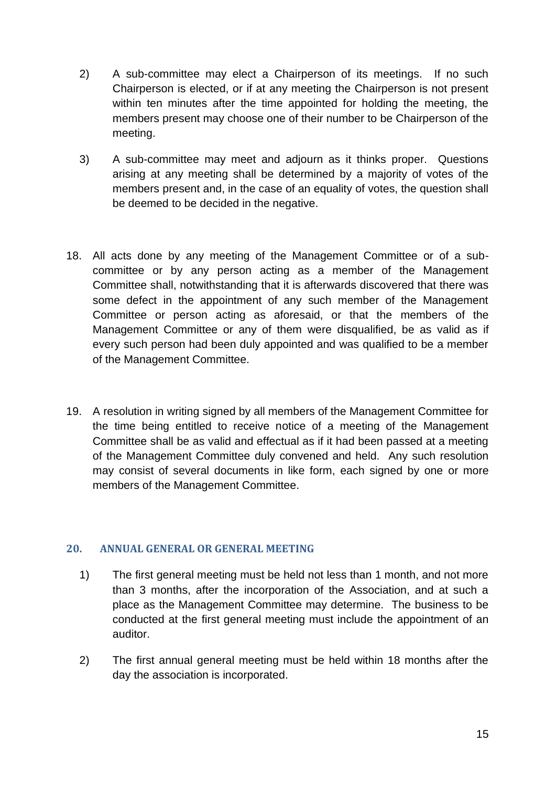- 2) A sub-committee may elect a Chairperson of its meetings. If no such Chairperson is elected, or if at any meeting the Chairperson is not present within ten minutes after the time appointed for holding the meeting, the members present may choose one of their number to be Chairperson of the meeting.
- 3) A sub-committee may meet and adjourn as it thinks proper. Questions arising at any meeting shall be determined by a majority of votes of the members present and, in the case of an equality of votes, the question shall be deemed to be decided in the negative.
- 18. All acts done by any meeting of the Management Committee or of a subcommittee or by any person acting as a member of the Management Committee shall, notwithstanding that it is afterwards discovered that there was some defect in the appointment of any such member of the Management Committee or person acting as aforesaid, or that the members of the Management Committee or any of them were disqualified, be as valid as if every such person had been duly appointed and was qualified to be a member of the Management Committee.
- 19. A resolution in writing signed by all members of the Management Committee for the time being entitled to receive notice of a meeting of the Management Committee shall be as valid and effectual as if it had been passed at a meeting of the Management Committee duly convened and held. Any such resolution may consist of several documents in like form, each signed by one or more members of the Management Committee.

## <span id="page-15-0"></span>**20. ANNUAL GENERAL OR GENERAL MEETING**

- 1) The first general meeting must be held not less than 1 month, and not more than 3 months, after the incorporation of the Association, and at such a place as the Management Committee may determine. The business to be conducted at the first general meeting must include the appointment of an auditor.
- 2) The first annual general meeting must be held within 18 months after the day the association is incorporated.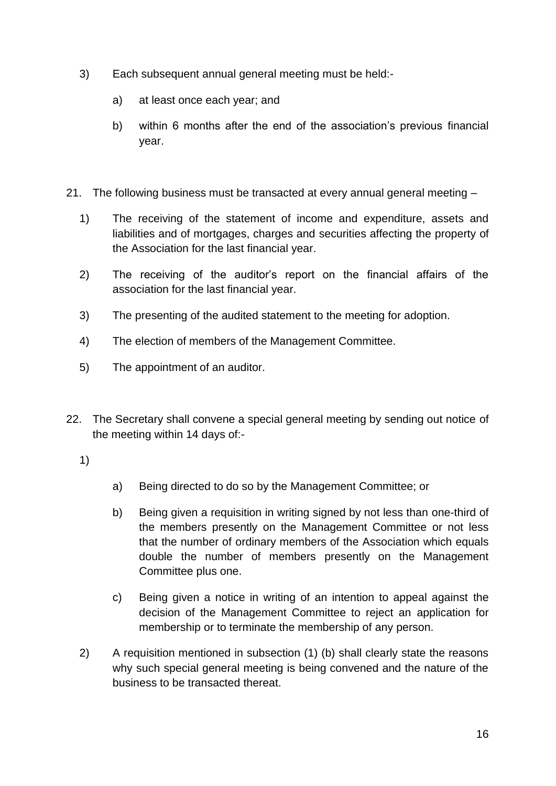- 3) Each subsequent annual general meeting must be held:
	- a) at least once each year; and
	- b) within 6 months after the end of the association's previous financial year.
- 21. The following business must be transacted at every annual general meeting
	- 1) The receiving of the statement of income and expenditure, assets and liabilities and of mortgages, charges and securities affecting the property of the Association for the last financial year.
	- 2) The receiving of the auditor's report on the financial affairs of the association for the last financial year.
	- 3) The presenting of the audited statement to the meeting for adoption.
	- 4) The election of members of the Management Committee.
	- 5) The appointment of an auditor.
- 22. The Secretary shall convene a special general meeting by sending out notice of the meeting within 14 days of:-
	- 1)
- a) Being directed to do so by the Management Committee; or
- b) Being given a requisition in writing signed by not less than one-third of the members presently on the Management Committee or not less that the number of ordinary members of the Association which equals double the number of members presently on the Management Committee plus one.
- c) Being given a notice in writing of an intention to appeal against the decision of the Management Committee to reject an application for membership or to terminate the membership of any person.
- 2) A requisition mentioned in subsection (1) (b) shall clearly state the reasons why such special general meeting is being convened and the nature of the business to be transacted thereat.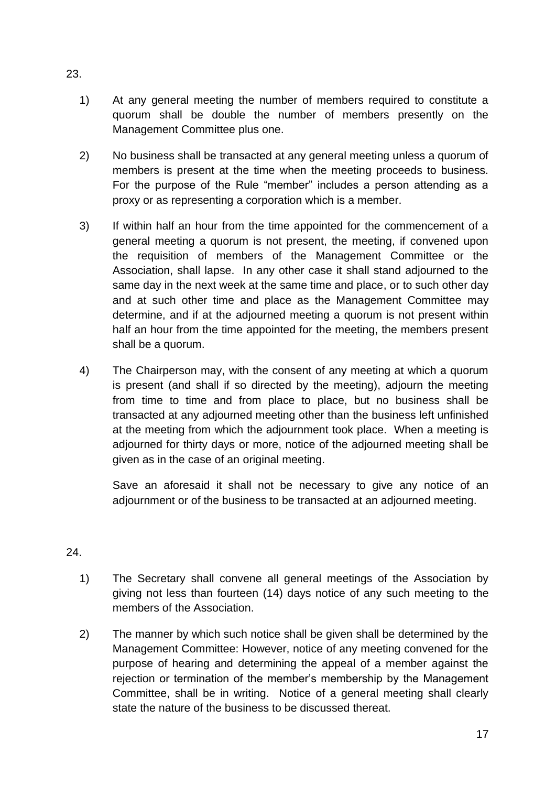- 1) At any general meeting the number of members required to constitute a quorum shall be double the number of members presently on the Management Committee plus one.
- 2) No business shall be transacted at any general meeting unless a quorum of members is present at the time when the meeting proceeds to business. For the purpose of the Rule "member" includes a person attending as a proxy or as representing a corporation which is a member.
- 3) If within half an hour from the time appointed for the commencement of a general meeting a quorum is not present, the meeting, if convened upon the requisition of members of the Management Committee or the Association, shall lapse. In any other case it shall stand adjourned to the same day in the next week at the same time and place, or to such other day and at such other time and place as the Management Committee may determine, and if at the adjourned meeting a quorum is not present within half an hour from the time appointed for the meeting, the members present shall be a quorum.
- 4) The Chairperson may, with the consent of any meeting at which a quorum is present (and shall if so directed by the meeting), adjourn the meeting from time to time and from place to place, but no business shall be transacted at any adjourned meeting other than the business left unfinished at the meeting from which the adjournment took place. When a meeting is adjourned for thirty days or more, notice of the adjourned meeting shall be given as in the case of an original meeting.

Save an aforesaid it shall not be necessary to give any notice of an adjournment or of the business to be transacted at an adjourned meeting.

## 24.

- 1) The Secretary shall convene all general meetings of the Association by giving not less than fourteen (14) days notice of any such meeting to the members of the Association.
- 2) The manner by which such notice shall be given shall be determined by the Management Committee: However, notice of any meeting convened for the purpose of hearing and determining the appeal of a member against the rejection or termination of the member's membership by the Management Committee, shall be in writing. Notice of a general meeting shall clearly state the nature of the business to be discussed thereat.

23.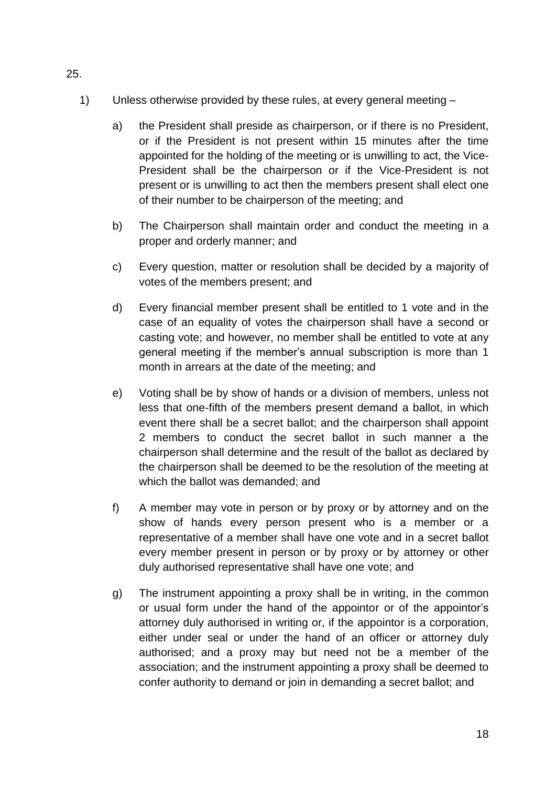- 1) Unless otherwise provided by these rules, at every general meeting
	- a) the President shall preside as chairperson, or if there is no President, or if the President is not present within 15 minutes after the time appointed for the holding of the meeting or is unwilling to act, the Vice-President shall be the chairperson or if the Vice-President is not present or is unwilling to act then the members present shall elect one of their number to be chairperson of the meeting; and
	- b) The Chairperson shall maintain order and conduct the meeting in a proper and orderly manner; and
	- c) Every question, matter or resolution shall be decided by a majority of votes of the members present; and
	- d) Every financial member present shall be entitled to 1 vote and in the case of an equality of votes the chairperson shall have a second or casting vote; and however, no member shall be entitled to vote at any general meeting if the member's annual subscription is more than 1 month in arrears at the date of the meeting; and
	- e) Voting shall be by show of hands or a division of members, unless not less that one-fifth of the members present demand a ballot, in which event there shall be a secret ballot; and the chairperson shall appoint 2 members to conduct the secret ballot in such manner a the chairperson shall determine and the result of the ballot as declared by the chairperson shall be deemed to be the resolution of the meeting at which the ballot was demanded; and
	- f) A member may vote in person or by proxy or by attorney and on the show of hands every person present who is a member or a representative of a member shall have one vote and in a secret ballot every member present in person or by proxy or by attorney or other duly authorised representative shall have one vote; and
	- g) The instrument appointing a proxy shall be in writing, in the common or usual form under the hand of the appointor or of the appointor's attorney duly authorised in writing or, if the appointor is a corporation, either under seal or under the hand of an officer or attorney duly authorised; and a proxy may but need not be a member of the association; and the instrument appointing a proxy shall be deemed to confer authority to demand or join in demanding a secret ballot; and

25.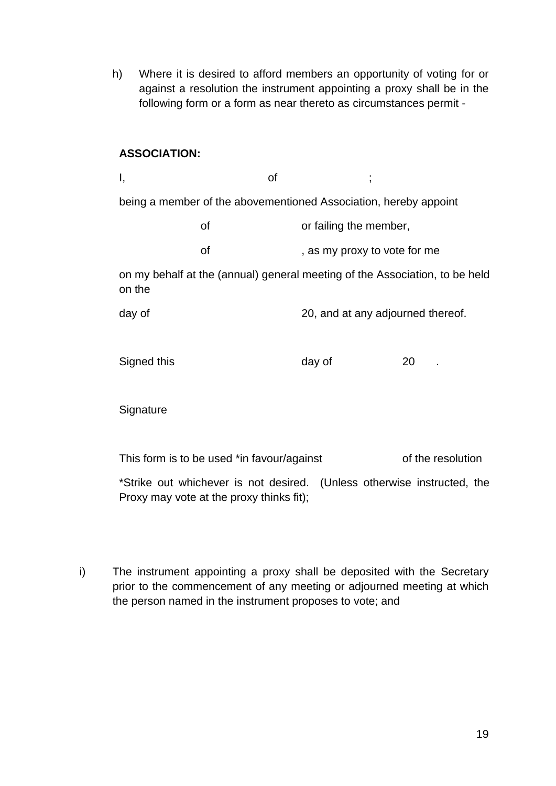h) Where it is desired to afford members an opportunity of voting for or against a resolution the instrument appointing a proxy shall be in the following form or a form as near thereto as circumstances permit -

## **ASSOCIATION:**

I, discriming the of  $\mathcal{I}$ ; being a member of the abovementioned Association, hereby appoint of or failing the member, of example of the state of  $\sim$ , as my proxy to vote for me on my behalf at the (annual) general meeting of the Association, to be held on the day of 20, and at any adjourned thereof. Signed this day of 20 . **Signature** This form is to be used \*in favour/against of the resolution

\*Strike out whichever is not desired. (Unless otherwise instructed, the Proxy may vote at the proxy thinks fit);

i) The instrument appointing a proxy shall be deposited with the Secretary prior to the commencement of any meeting or adjourned meeting at which the person named in the instrument proposes to vote; and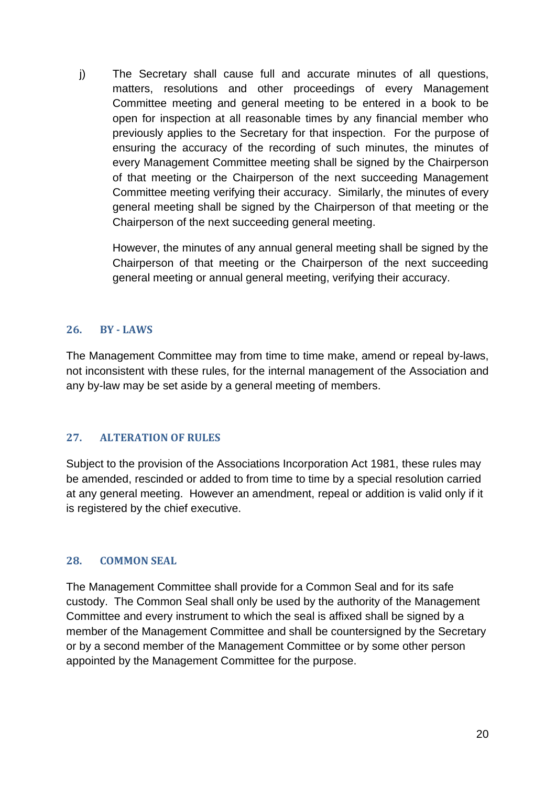j) The Secretary shall cause full and accurate minutes of all questions, matters, resolutions and other proceedings of every Management Committee meeting and general meeting to be entered in a book to be open for inspection at all reasonable times by any financial member who previously applies to the Secretary for that inspection. For the purpose of ensuring the accuracy of the recording of such minutes, the minutes of every Management Committee meeting shall be signed by the Chairperson of that meeting or the Chairperson of the next succeeding Management Committee meeting verifying their accuracy. Similarly, the minutes of every general meeting shall be signed by the Chairperson of that meeting or the Chairperson of the next succeeding general meeting.

However, the minutes of any annual general meeting shall be signed by the Chairperson of that meeting or the Chairperson of the next succeeding general meeting or annual general meeting, verifying their accuracy.

## <span id="page-20-0"></span>**26. BY - LAWS**

The Management Committee may from time to time make, amend or repeal by-laws, not inconsistent with these rules, for the internal management of the Association and any by-law may be set aside by a general meeting of members.

## <span id="page-20-1"></span>**27. ALTERATION OF RULES**

Subject to the provision of the Associations Incorporation Act 1981, these rules may be amended, rescinded or added to from time to time by a special resolution carried at any general meeting. However an amendment, repeal or addition is valid only if it is registered by the chief executive.

## <span id="page-20-2"></span>**28. COMMON SEAL**

The Management Committee shall provide for a Common Seal and for its safe custody. The Common Seal shall only be used by the authority of the Management Committee and every instrument to which the seal is affixed shall be signed by a member of the Management Committee and shall be countersigned by the Secretary or by a second member of the Management Committee or by some other person appointed by the Management Committee for the purpose.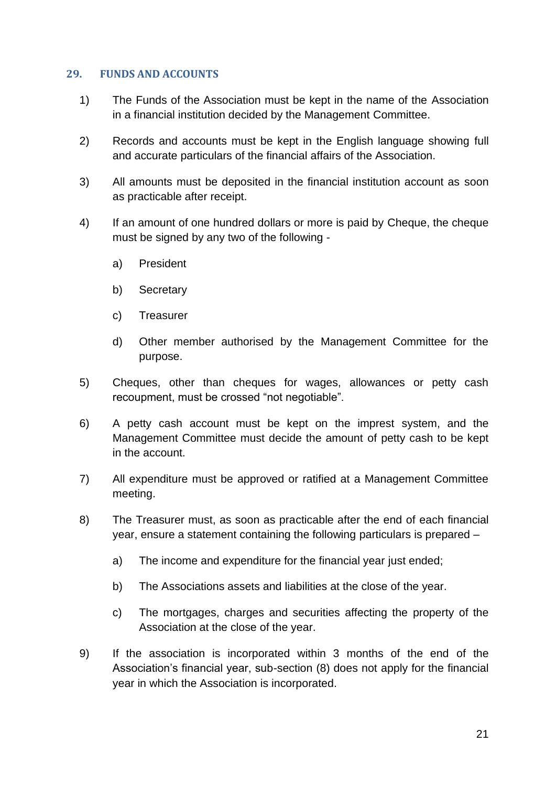### <span id="page-21-0"></span>**29. FUNDS AND ACCOUNTS**

- 1) The Funds of the Association must be kept in the name of the Association in a financial institution decided by the Management Committee.
- 2) Records and accounts must be kept in the English language showing full and accurate particulars of the financial affairs of the Association.
- 3) All amounts must be deposited in the financial institution account as soon as practicable after receipt.
- 4) If an amount of one hundred dollars or more is paid by Cheque, the cheque must be signed by any two of the following
	- a) President
	- b) Secretary
	- c) Treasurer
	- d) Other member authorised by the Management Committee for the purpose.
- 5) Cheques, other than cheques for wages, allowances or petty cash recoupment, must be crossed "not negotiable".
- 6) A petty cash account must be kept on the imprest system, and the Management Committee must decide the amount of petty cash to be kept in the account.
- 7) All expenditure must be approved or ratified at a Management Committee meeting.
- 8) The Treasurer must, as soon as practicable after the end of each financial year, ensure a statement containing the following particulars is prepared –
	- a) The income and expenditure for the financial year just ended;
	- b) The Associations assets and liabilities at the close of the year.
	- c) The mortgages, charges and securities affecting the property of the Association at the close of the year.
- 9) If the association is incorporated within 3 months of the end of the Association's financial year, sub-section (8) does not apply for the financial year in which the Association is incorporated.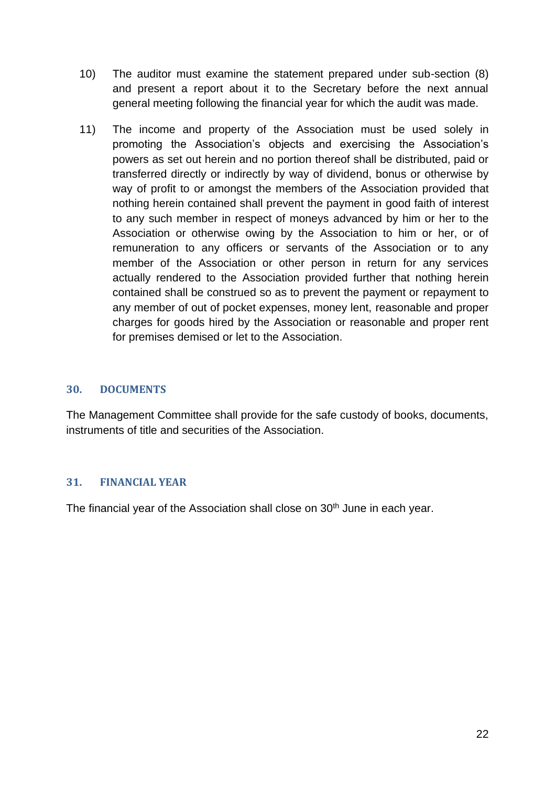- 10) The auditor must examine the statement prepared under sub-section (8) and present a report about it to the Secretary before the next annual general meeting following the financial year for which the audit was made.
- 11) The income and property of the Association must be used solely in promoting the Association's objects and exercising the Association's powers as set out herein and no portion thereof shall be distributed, paid or transferred directly or indirectly by way of dividend, bonus or otherwise by way of profit to or amongst the members of the Association provided that nothing herein contained shall prevent the payment in good faith of interest to any such member in respect of moneys advanced by him or her to the Association or otherwise owing by the Association to him or her, or of remuneration to any officers or servants of the Association or to any member of the Association or other person in return for any services actually rendered to the Association provided further that nothing herein contained shall be construed so as to prevent the payment or repayment to any member of out of pocket expenses, money lent, reasonable and proper charges for goods hired by the Association or reasonable and proper rent for premises demised or let to the Association.

## <span id="page-22-0"></span>**30. DOCUMENTS**

The Management Committee shall provide for the safe custody of books, documents, instruments of title and securities of the Association.

## <span id="page-22-1"></span>**31. FINANCIAL YEAR**

The financial year of the Association shall close on 30<sup>th</sup> June in each year.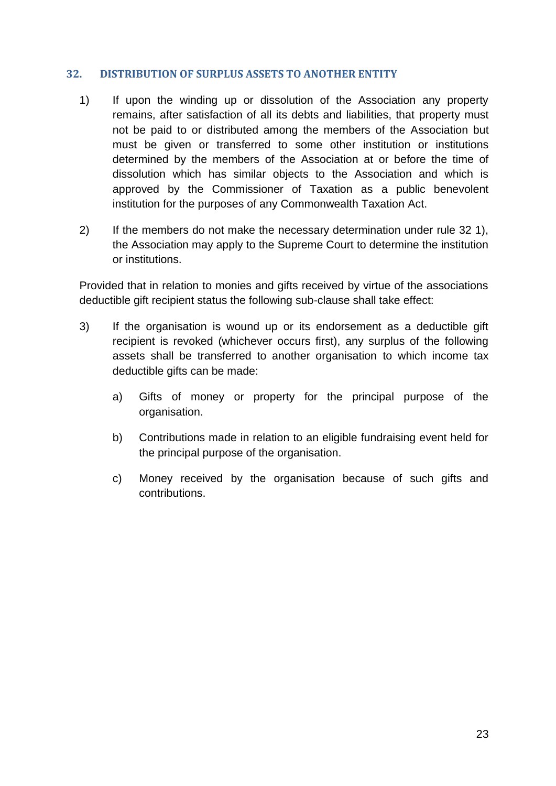## <span id="page-23-0"></span>**32. DISTRIBUTION OF SURPLUS ASSETS TO ANOTHER ENTITY**

- 1) If upon the winding up or dissolution of the Association any property remains, after satisfaction of all its debts and liabilities, that property must not be paid to or distributed among the members of the Association but must be given or transferred to some other institution or institutions determined by the members of the Association at or before the time of dissolution which has similar objects to the Association and which is approved by the Commissioner of Taxation as a public benevolent institution for the purposes of any Commonwealth Taxation Act.
- 2) If the members do not make the necessary determination under rule 32 1), the Association may apply to the Supreme Court to determine the institution or institutions.

Provided that in relation to monies and gifts received by virtue of the associations deductible gift recipient status the following sub-clause shall take effect:

- 3) If the organisation is wound up or its endorsement as a deductible gift recipient is revoked (whichever occurs first), any surplus of the following assets shall be transferred to another organisation to which income tax deductible gifts can be made:
	- a) Gifts of money or property for the principal purpose of the organisation.
	- b) Contributions made in relation to an eligible fundraising event held for the principal purpose of the organisation.
	- c) Money received by the organisation because of such gifts and contributions.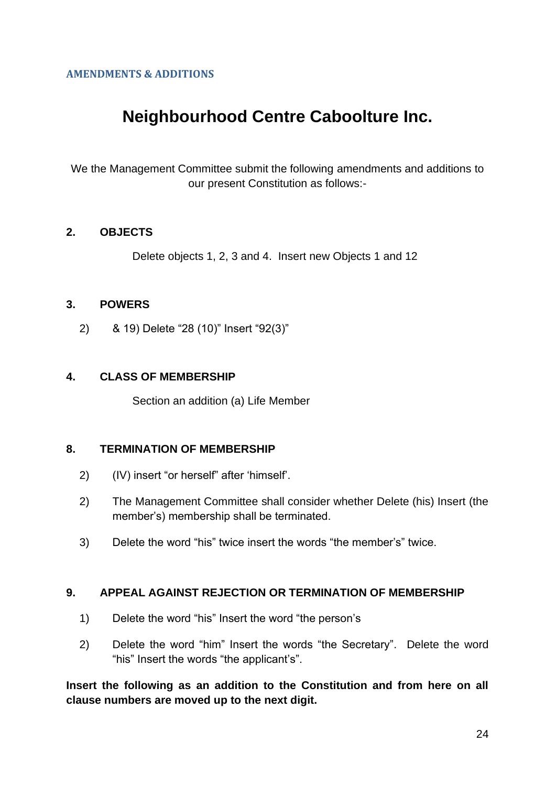## <span id="page-24-0"></span>**AMENDMENTS & ADDITIONS**

# **Neighbourhood Centre Caboolture Inc.**

We the Management Committee submit the following amendments and additions to our present Constitution as follows:-

## **2. OBJECTS**

Delete objects 1, 2, 3 and 4. Insert new Objects 1 and 12

## **3. POWERS**

2) & 19) Delete "28 (10)" Insert "92(3)"

## **4. CLASS OF MEMBERSHIP**

Section an addition (a) Life Member

## **8. TERMINATION OF MEMBERSHIP**

- 2) (IV) insert "or herself" after 'himself'.
- 2) The Management Committee shall consider whether Delete (his) Insert (the member's) membership shall be terminated.
- 3) Delete the word "his" twice insert the words "the member's" twice.

## **9. APPEAL AGAINST REJECTION OR TERMINATION OF MEMBERSHIP**

- 1) Delete the word "his" Insert the word "the person's
- 2) Delete the word "him" Insert the words "the Secretary". Delete the word "his" Insert the words "the applicant's".

**Insert the following as an addition to the Constitution and from here on all clause numbers are moved up to the next digit.**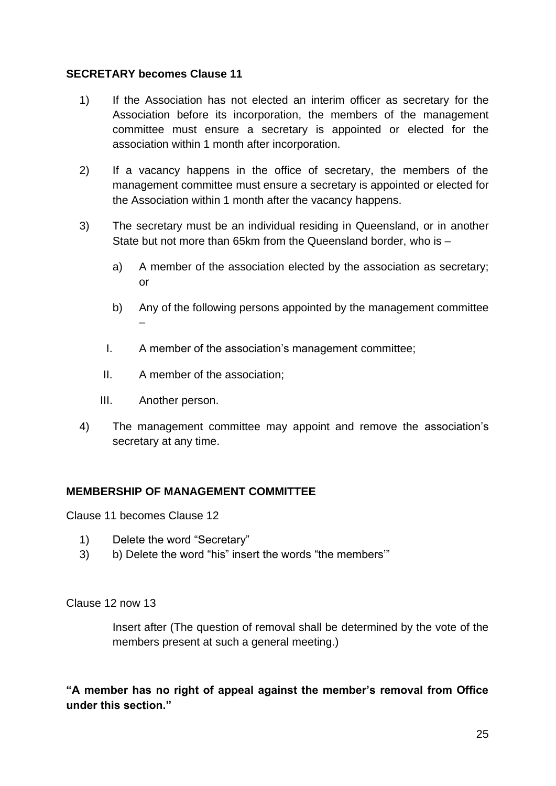## **SECRETARY becomes Clause 11**

- 1) If the Association has not elected an interim officer as secretary for the Association before its incorporation, the members of the management committee must ensure a secretary is appointed or elected for the association within 1 month after incorporation.
- 2) If a vacancy happens in the office of secretary, the members of the management committee must ensure a secretary is appointed or elected for the Association within 1 month after the vacancy happens.
- 3) The secretary must be an individual residing in Queensland, or in another State but not more than 65km from the Queensland border, who is –
	- a) A member of the association elected by the association as secretary; or
	- b) Any of the following persons appointed by the management committee –
	- I. A member of the association's management committee;
	- II. A member of the association;
	- III. Another person.
- 4) The management committee may appoint and remove the association's secretary at any time.

## **MEMBERSHIP OF MANAGEMENT COMMITTEE**

Clause 11 becomes Clause 12

- 1) Delete the word "Secretary"
- 3) b) Delete the word "his" insert the words "the members'"

Clause 12 now 13

Insert after (The question of removal shall be determined by the vote of the members present at such a general meeting.)

**"A member has no right of appeal against the member's removal from Office under this section."**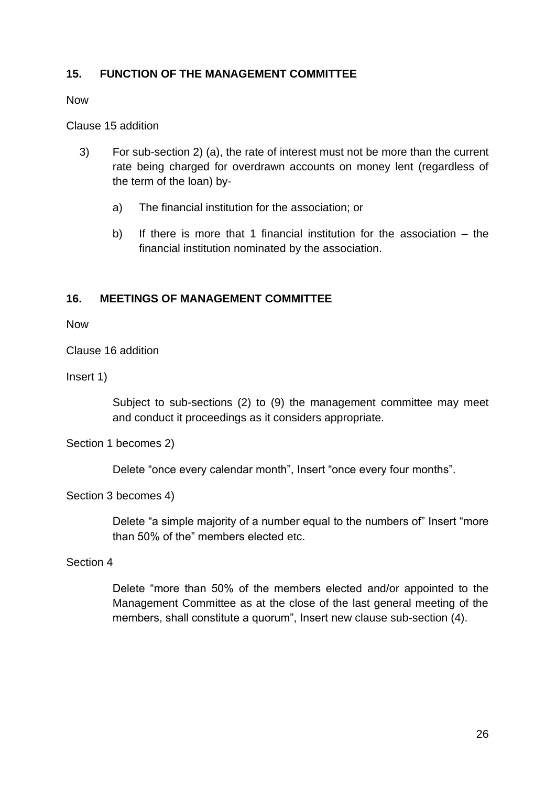## **15. FUNCTION OF THE MANAGEMENT COMMITTEE**

Now

Clause 15 addition

- 3) For sub-section 2) (a), the rate of interest must not be more than the current rate being charged for overdrawn accounts on money lent (regardless of the term of the loan) by
	- a) The financial institution for the association; or
	- b) If there is more that 1 financial institution for the association the financial institution nominated by the association.

## **16. MEETINGS OF MANAGEMENT COMMITTEE**

Now

Clause 16 addition

Insert 1)

Subject to sub-sections (2) to (9) the management committee may meet and conduct it proceedings as it considers appropriate.

Section 1 becomes 2)

Delete "once every calendar month", Insert "once every four months".

Section 3 becomes 4)

Delete "a simple majority of a number equal to the numbers of" Insert "more than 50% of the" members elected etc.

Section 4

Delete "more than 50% of the members elected and/or appointed to the Management Committee as at the close of the last general meeting of the members, shall constitute a quorum", Insert new clause sub-section (4).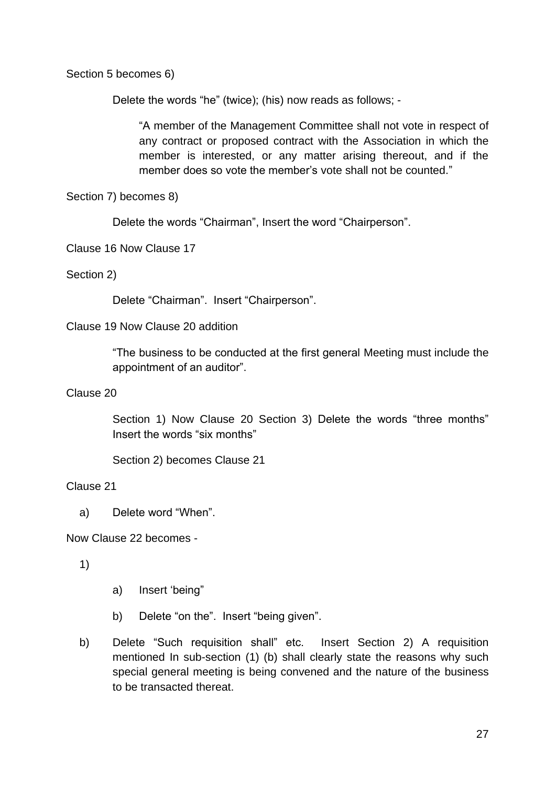Section 5 becomes 6)

Delete the words "he" (twice); (his) now reads as follows; -

"A member of the Management Committee shall not vote in respect of any contract or proposed contract with the Association in which the member is interested, or any matter arising thereout, and if the member does so vote the member's vote shall not be counted."

Section 7) becomes 8)

Delete the words "Chairman", Insert the word "Chairperson".

Clause 16 Now Clause 17

Section 2)

Delete "Chairman". Insert "Chairperson".

## Clause 19 Now Clause 20 addition

"The business to be conducted at the first general Meeting must include the appointment of an auditor".

Clause 20

Section 1) Now Clause 20 Section 3) Delete the words "three months" Insert the words "six months"

Section 2) becomes Clause 21

## Clause 21

a) Delete word "When".

Now Clause 22 becomes -

1)

- a) Insert 'being"
- b) Delete "on the". Insert "being given".
- b) Delete "Such requisition shall" etc. Insert Section 2) A requisition mentioned In sub-section (1) (b) shall clearly state the reasons why such special general meeting is being convened and the nature of the business to be transacted thereat.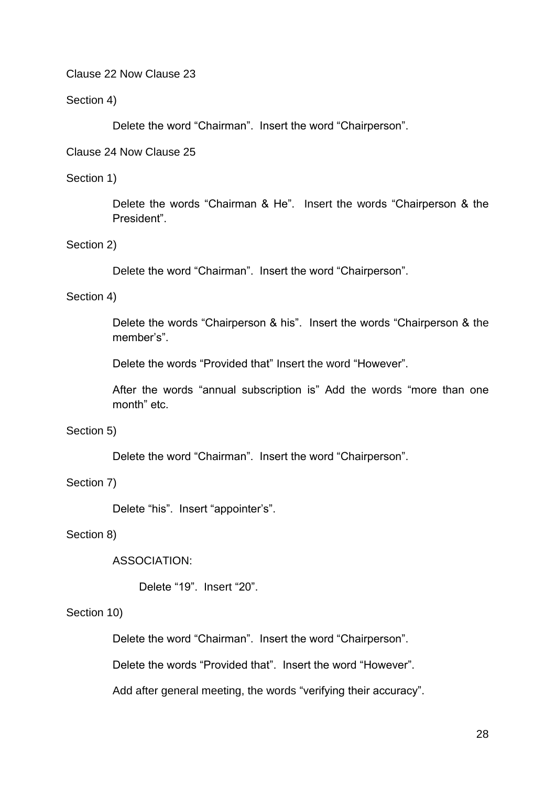Clause 22 Now Clause 23

Section 4)

Delete the word "Chairman". Insert the word "Chairperson".

Clause 24 Now Clause 25

### Section 1)

Delete the words "Chairman & He". Insert the words "Chairperson & the President".

### Section 2)

Delete the word "Chairman". Insert the word "Chairperson".

### Section 4)

Delete the words "Chairperson & his". Insert the words "Chairperson & the member's".

Delete the words "Provided that" Insert the word "However".

After the words "annual subscription is" Add the words "more than one month" etc.

### Section 5)

Delete the word "Chairman". Insert the word "Chairperson".

## Section 7)

Delete "his". Insert "appointer's".

### Section 8)

## ASSOCIATION:

Delete "19". Insert "20".

## Section 10)

Delete the word "Chairman". Insert the word "Chairperson".

Delete the words "Provided that". Insert the word "However".

Add after general meeting, the words "verifying their accuracy".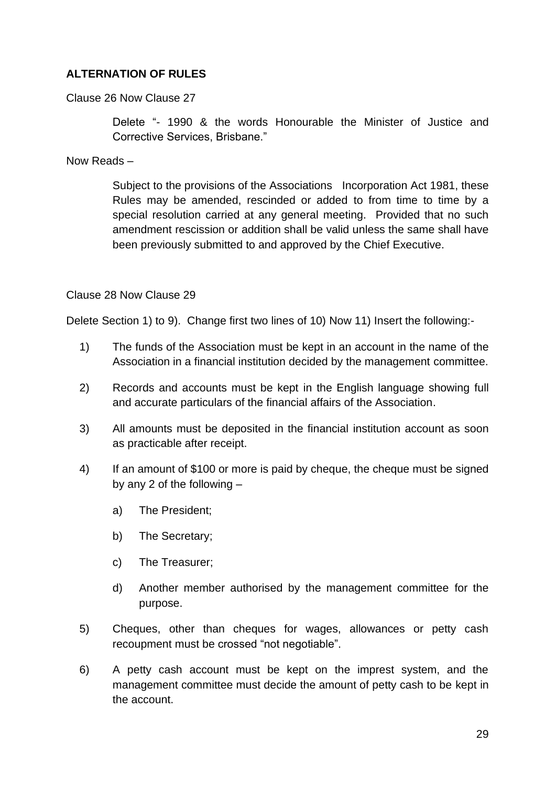## **ALTERNATION OF RULES**

Clause 26 Now Clause 27

Delete "- 1990 & the words Honourable the Minister of Justice and Corrective Services, Brisbane."

Now Reads –

Subject to the provisions of the Associations Incorporation Act 1981, these Rules may be amended, rescinded or added to from time to time by a special resolution carried at any general meeting. Provided that no such amendment rescission or addition shall be valid unless the same shall have been previously submitted to and approved by the Chief Executive.

Clause 28 Now Clause 29

Delete Section 1) to 9). Change first two lines of 10) Now 11) Insert the following:-

- 1) The funds of the Association must be kept in an account in the name of the Association in a financial institution decided by the management committee.
- 2) Records and accounts must be kept in the English language showing full and accurate particulars of the financial affairs of the Association.
- 3) All amounts must be deposited in the financial institution account as soon as practicable after receipt.
- 4) If an amount of \$100 or more is paid by cheque, the cheque must be signed by any 2 of the following –
	- a) The President;
	- b) The Secretary;
	- c) The Treasurer;
	- d) Another member authorised by the management committee for the purpose.
- 5) Cheques, other than cheques for wages, allowances or petty cash recoupment must be crossed "not negotiable".
- 6) A petty cash account must be kept on the imprest system, and the management committee must decide the amount of petty cash to be kept in the account.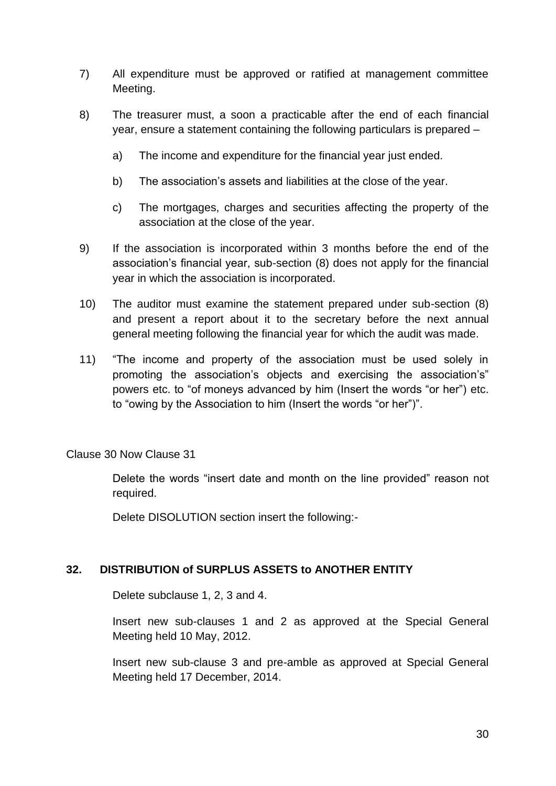- 7) All expenditure must be approved or ratified at management committee Meeting.
- 8) The treasurer must, a soon a practicable after the end of each financial year, ensure a statement containing the following particulars is prepared –
	- a) The income and expenditure for the financial year just ended.
	- b) The association's assets and liabilities at the close of the year.
	- c) The mortgages, charges and securities affecting the property of the association at the close of the year.
- 9) If the association is incorporated within 3 months before the end of the association's financial year, sub-section (8) does not apply for the financial year in which the association is incorporated.
- 10) The auditor must examine the statement prepared under sub-section (8) and present a report about it to the secretary before the next annual general meeting following the financial year for which the audit was made.
- 11) "The income and property of the association must be used solely in promoting the association's objects and exercising the association's" powers etc. to "of moneys advanced by him (Insert the words "or her") etc. to "owing by the Association to him (Insert the words "or her")".

Clause 30 Now Clause 31

Delete the words "insert date and month on the line provided" reason not required.

Delete DISOLUTION section insert the following:-

## **32. DISTRIBUTION of SURPLUS ASSETS to ANOTHER ENTITY**

Delete subclause 1, 2, 3 and 4.

Insert new sub-clauses 1 and 2 as approved at the Special General Meeting held 10 May, 2012.

Insert new sub-clause 3 and pre-amble as approved at Special General Meeting held 17 December, 2014.